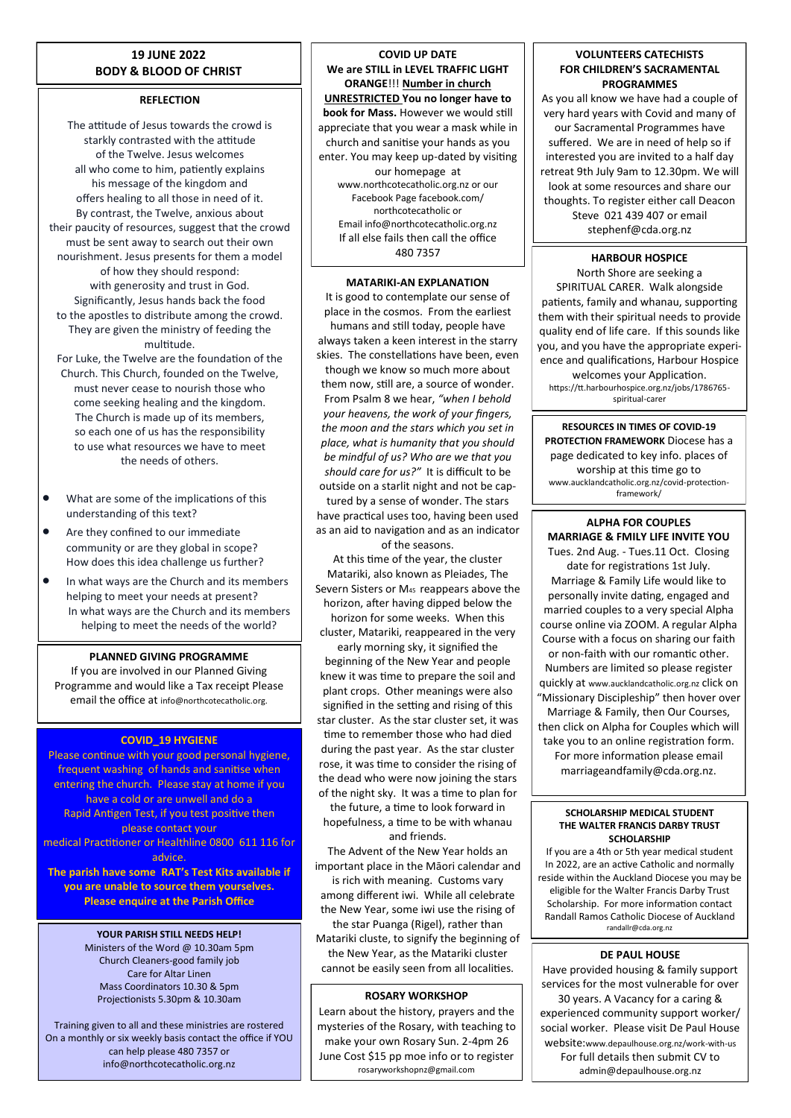## **19 JUNE 2022 BODY & BLOOD OF CHRIST**

## **REFLECTION**

The attitude of Jesus towards the crowd is starkly contrasted with the attitude of the Twelve. Jesus welcomes all who come to him, patiently explains his message of the kingdom and offers healing to all those in need of it. By contrast, the Twelve, anxious about their paucity of resources, suggest that the crowd must be sent away to search out their own nourishment. Jesus presents for them a model of how they should respond: with generosity and trust in God. Significantly, Jesus hands back the food to the apostles to distribute among the crowd. They are given the ministry of feeding the multitude.

For Luke, the Twelve are the foundation of the Church. This Church, founded on the Twelve, must never cease to nourish those who come seeking healing and the kingdom. The Church is made up of its members, so each one of us has the responsibility to use what resources we have to meet the needs of others.

- What are some of the implications of this understanding of this text?
- Are they confined to our immediate community or are they global in scope? How does this idea challenge us further?
- In what ways are the Church and its members helping to meet your needs at present? In what ways are the Church and its members helping to meet the needs of the world?

## **PLANNED GIVING PROGRAMME**

If you are involved in our Planned Giving Programme and would like a Tax receipt Please email the office at info@northcotecatholic.org.

## **COVID\_19 HYGIENE**

Please continue with your good personal hygiene, frequent washing of hands and sanitise when entering the church. Please stay at home if you have a cold or are unwell and do a Rapid Antigen Test, if you test positive then please contact your medical Practitioner or Healthline 0800 611 116 for advice.

**The parish have some RAT's Test Kits available if you are unable to source them yourselves. Please enquire at the Parish Office**

## **YOUR PARISH STILL NEEDS HELP!**

Ministers of the Word @ 10.30am 5pm Church Cleaners-good family job Care for Altar Linen Mass Coordinators 10.30 & 5pm Projectionists 5.30pm & 10.30am

Training given to all and these ministries are rostered On a monthly or six weekly basis contact the office if YOU can help please 480 7357 or info@northcotecatholic.org.nz

**COVID UP DATE We are STILL in LEVEL TRAFFIC LIGHT ORANGE**!!! **Number in church UNRESTRICTED You no longer have to book for Mass.** However we would still appreciate that you wear a mask while in church and sanitise your hands as you enter. You may keep up-dated by visiting our homepage at www.northcotecatholic.org.nz or our Facebook Page facebook.com/ northcotecatholic or Email info@northcotecatholic.org.nz If all else fails then call the office 480 7357

## **MATARIKI-AN EXPLANATION**

It is good to contemplate our sense of place in the cosmos. From the earliest humans and still today, people have always taken a keen interest in the starry skies. The constellations have been, even though we know so much more about them now, still are, a source of wonder. From Psalm 8 we hear, *"when I behold your heavens, the work of your fingers, the moon and the stars which you set in place, what is humanity that you should be mindful of us? Who are we that you should care for us?"* It is difficult to be outside on a starlit night and not be captured by a sense of wonder. The stars have practical uses too, having been used as an aid to navigation and as an indicator

of the seasons. At this time of the year, the cluster Matariki, also known as Pleiades, The Severn Sisters or M45 reappears above the horizon, after having dipped below the horizon for some weeks. When this cluster, Matariki, reappeared in the very early morning sky, it signified the beginning of the New Year and people knew it was time to prepare the soil and plant crops. Other meanings were also signified in the setting and rising of this star cluster. As the star cluster set, it was time to remember those who had died during the past year. As the star cluster rose, it was time to consider the rising of the dead who were now joining the stars

of the night sky. It was a time to plan for the future, a time to look forward in hopefulness, a time to be with whanau and friends.

The Advent of the New Year holds an important place in the Māori calendar and is rich with meaning. Customs vary among different iwi. While all celebrate the New Year, some iwi use the rising of the star Puanga (Rigel), rather than Matariki cluste, to signify the beginning of the New Year, as the Matariki cluster

# **ROSARY WORKSHOP** cannot be easily seen from all localities.

Learn about the history, prayers and the mysteries of the Rosary, with teaching to make your own Rosary Sun. 2-4pm 26 June Cost \$15 pp moe info or to register rosaryworkshopnz@gmail.com

## **VOLUNTEERS CATECHISTS FOR CHILDREN'S SACRAMENTAL PROGRAMMES**

As you all know we have had a couple of very hard years with Covid and many of our Sacramental Programmes have suffered. We are in need of help so if interested you are invited to a half day retreat 9th July 9am to 12.30pm. We will look at some resources and share our thoughts. To register either call Deacon Steve 021 439 407 or email stephenf@cda.org.nz

## **HARBOUR HOSPICE**

North Shore are seeking a SPIRITUAL CARER. Walk alongside patients, family and whanau, supporting them with their spiritual needs to provide quality end of life care. If this sounds like you, and you have the appropriate experience and qualifications, Harbour Hospice welcomes your Application. https://tt.harbourhospice.org.nz/jobs/1786765 spiritual-carer

**RESOURCES IN TIMES OF COVID-19 PROTECTION FRAMEWORK** Diocese has a page dedicated to key info. places of worship at this time go to www.aucklandcatholic.org.nz/covid-protectionframework/

## **ALPHA FOR COUPLES MARRIAGE & FMILY LIFE INVITE YOU**

Tues. 2nd Aug. - Tues.11 Oct. Closing date for registrations 1st July. Marriage & Family Life would like to personally invite dating, engaged and married couples to a very special Alpha course online via ZOOM. A regular Alpha Course with a focus on sharing our faith or non-faith with our romantic other. Numbers are limited so please register quickly at www.aucklandcatholic.org.nz click on "Missionary Discipleship" then hover over Marriage & Family, then Our Courses, then click on Alpha for Couples which will take you to an online registration form. For more information please email marriageandfamily@cda.org.nz.

#### **SCHOLARSHIP MEDICAL STUDENT THE WALTER FRANCIS DARBY TRUST SCHOLARSHIP**

If you are a 4th or 5th year medical student In 2022, are an active Catholic and normally reside within the Auckland Diocese you may be eligible for the Walter Francis Darby Trust Scholarship. For more information contact Randall Ramos Catholic Diocese of Auckland randallr@cda.org.nz

## **DE PAUL HOUSE**

Have provided housing & family support services for the most vulnerable for over 30 years. A Vacancy for a caring & experienced community support worker/ social worker. Please visit De Paul House website:www.depaulhouse.org.nz/work-with-us For full details then submit CV to admin@depaulhouse.org.nz